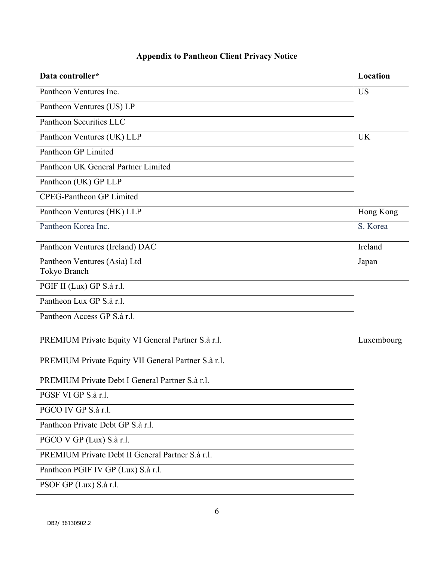| Data controller*                                    | Location   |
|-----------------------------------------------------|------------|
| Pantheon Ventures Inc.                              | <b>US</b>  |
| Pantheon Ventures (US) LP                           |            |
| Pantheon Securities LLC                             |            |
| Pantheon Ventures (UK) LLP                          | <b>UK</b>  |
| Pantheon GP Limited                                 |            |
| Pantheon UK General Partner Limited                 |            |
| Pantheon (UK) GP LLP                                |            |
| <b>CPEG-Pantheon GP Limited</b>                     |            |
| Pantheon Ventures (HK) LLP                          | Hong Kong  |
| Pantheon Korea Inc.                                 | S. Korea   |
| Pantheon Ventures (Ireland) DAC                     | Ireland    |
| Pantheon Ventures (Asia) Ltd                        | Japan      |
| Tokyo Branch                                        |            |
| PGIF II (Lux) GP S.à r.l.                           |            |
| Pantheon Lux GP S.à r.l.                            |            |
| Pantheon Access GP S.à r.l.                         |            |
| PREMIUM Private Equity VI General Partner S.à r.l.  | Luxembourg |
| PREMIUM Private Equity VII General Partner S.à r.l. |            |
| PREMIUM Private Debt I General Partner S.à r.l.     |            |
| PGSF VI GP S.à r.l.                                 |            |
| PGCO IV GP S.à r.l.                                 |            |
| Pantheon Private Debt GP S.à r.l.                   |            |
| PGCO V GP (Lux) S.à r.l.                            |            |
| PREMIUM Private Debt II General Partner S.à r.l.    |            |
| Pantheon PGIF IV GP (Lux) S.à r.l.                  |            |
| PSOF GP (Lux) S.à r.l.                              |            |

## **Appendix to Pantheon Client Privacy Notice**